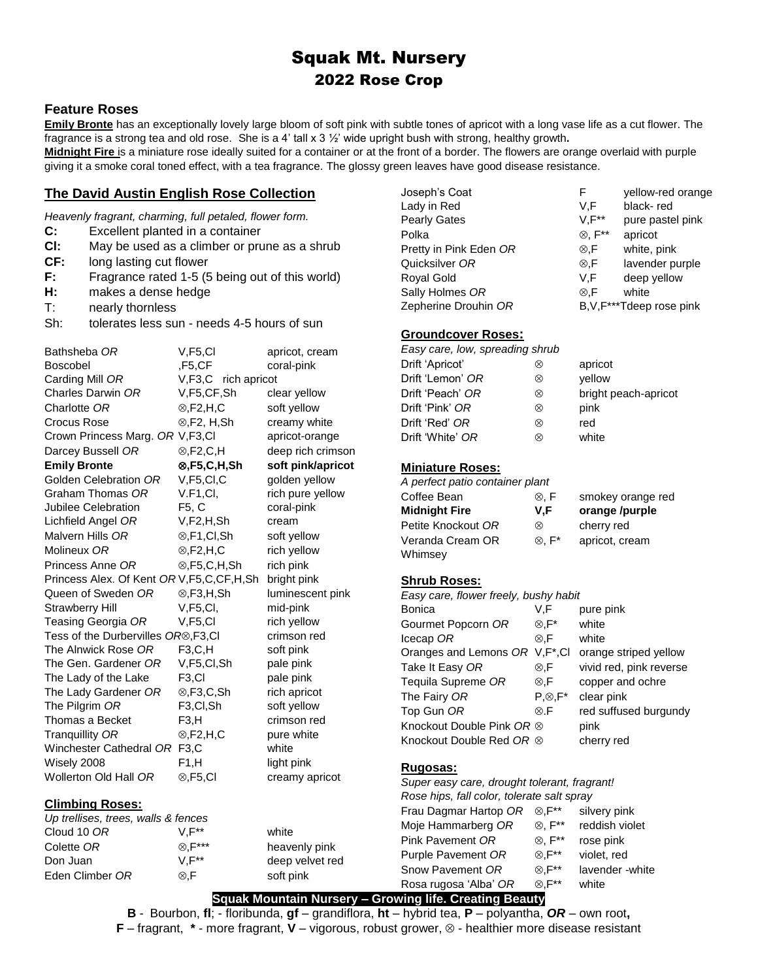# Squak Mt. Nursery 2022 Rose Crop

## **Feature Roses**

**Emily Bronte** has an exceptionally lovely large bloom of soft pink with subtle tones of apricot with a long vase life as a cut flower. The fragrance is a strong tea and old rose. She is a 4' tall x 3 ½' wide upright bush with strong, healthy growth**.**

**Midnight Fire** is a miniature rose ideally suited for a container or at the front of a border. The flowers are orange overlaid with purple giving it a smoke coral toned effect, with a tea fragrance. The glossy green leaves have good disease resistance.

## **The David Austin English Rose Collection**

*Heavenly fragrant, charming, full petaled, flower form.*

- **C:** Excellent planted in a container
- **Cl:** May be used as a climber or prune as a shrub
- **CF:** long lasting cut flower
- **F:** Fragrance rated 1-5 (5 being out of this world)
- **H:** makes a dense hedge
- T: nearly thornless

Sh: tolerates less sun - needs 4-5 hours of sun

| Bathsheba OR                                      | V,F5,Cl                  | apricot, cream    |
|---------------------------------------------------|--------------------------|-------------------|
| Boscobel                                          | ,F5,CF                   | coral-pink        |
| Carding Mill OR                                   | V, F3, C<br>rich apricot |                   |
| Charles Darwin OR                                 | V,F5,CF,Sh               | clear yellow      |
| Charlotte OR                                      | $\otimes$ , F2, H, C     | soft yellow       |
| Crocus Rose                                       | $\otimes$ , F2, H, Sh    | creamy white      |
| Crown Princess Marg. OR V, F3, CI                 |                          | apricot-orange    |
| Darcey Bussell OR                                 | $\otimes$ , F2, C, H     | deep rich crimson |
| <b>Emily Bronte</b>                               | ⊗,F5,C,H,Sh              | soft pink/apricot |
| Golden Celebration OR                             | V, F5, Cl, C             | golden yellow     |
| Graham Thomas OR                                  | V.F1, Cl,                | rich pure yellow  |
| Jubilee Celebration                               | F5, C                    | coral-pink        |
| Lichfield Angel OR                                | V,F2,H,Sh                | cream             |
| Malvern Hills OR                                  | ⊗,F1,Cl,Sh               | soft yellow       |
| Molineux OR                                       | $\otimes$ , F2, H, C     | rich yellow       |
| Princess Anne OR                                  | $\otimes$ , F5, C, H, Sh | rich pink         |
| Princess Alex. Of Kent OR V, F5, C, CF, H, Sh     |                          | bright pink       |
| Queen of Sweden OR                                | $\otimes$ , F3, H, Sh    | luminescent pink  |
| <b>Strawberry Hill</b>                            | V, F5, Cl,               | mid-pink          |
| Teasing Georgia OR                                | V.F5.CI                  | rich yellow       |
| Tess of the Durbervilles OR <sup>®</sup> , F3, CI |                          | crimson red       |
| The Alnwick Rose OR                               | F3, C, H                 | soft pink         |
| The Gen. Gardener OR                              | V,F5,CI,Sh               | pale pink         |
| The Lady of the Lake                              | F <sub>3</sub> ,CI       | pale pink         |
| The Lady Gardener OR                              | $\otimes$ , F3, C, Sh    | rich apricot      |
| The Pilgrim OR                                    | F <sub>3,</sub> Cl,Sh    | soft yellow       |
| Thomas a Becket                                   | F3,H                     | crimson red       |
| Tranquillity OR                                   | $\otimes$ ,F2,H,C        | pure white        |
| Winchester Cathedral OR                           | F <sub>3</sub> C         | white             |
| Wisely 2008                                       | F1, H                    | light pink        |
| Wollerton Old Hall OR                             | $\otimes$ ,F5,Cl         | creamy apricot    |
| Climhing Poege:                                   |                          |                   |

#### **Climbing Roses:**

*Up trellises, trees, walls & fences* Cloud 10 *OR* V,F\*\* white Colette *OR* ,F\*\*\* heavenly pink Don Juan V,F<sup>\*\*</sup> deep velvet red Eden Climber *OR*  $\otimes$ , F soft pink

| Joseph's Coat          | F                    | yellow-red orange       |
|------------------------|----------------------|-------------------------|
| Lady in Red            | V.F                  | black-red               |
| <b>Pearly Gates</b>    | $V, F^{**}$          | pure pastel pink        |
| Polka                  | $\otimes$ , $F^{**}$ | apricot                 |
| Pretty in Pink Eden OR | $\otimes$ .F         | white, pink             |
| Quicksilver OR         | $\otimes$ .F         | lavender purple         |
| Royal Gold             | V.F                  | deep yellow             |
| Sally Holmes OR        | ⊗. $F$               | white                   |
| Zepherine Drouhin OR   |                      | B.V.F***Tdeep rose pink |

### **Groundcover Roses:**

| Easy care, low, spreading shrub |   |                      |
|---------------------------------|---|----------------------|
| Drift 'Apricot'                 | ∞ | apricot              |
| Drift 'Lemon' OR                | ⊗ | vellow               |
| Drift 'Peach' OR                | ⊗ | bright peach-apricot |
| Drift 'Pink' OR                 | ⊗ | pink                 |
| Drift 'Red' OR                  | ⊗ | red                  |
| Drift 'White' OR                | ∞ | white                |

#### **Miniature Roses:**

| A perfect patio container plant |                   |                   |
|---------------------------------|-------------------|-------------------|
| Coffee Bean                     | ⊗. F              | smokey orange red |
| Midnight Fire                   | V.F               | orange /purple    |
| Petite Knockout OR              | ⊗                 | cherry red        |
| Veranda Cream OR                | $\otimes$ , $F^*$ | apricot, cream    |
| Whimsev                         |                   |                   |

## **Shrub Roses:**

| Easy care, flower freely, bushy habit |                 |                         |
|---------------------------------------|-----------------|-------------------------|
| Bonica                                | V.F             | pure pink               |
| Gourmet Popcorn OR                    | ⊗,F*            | white                   |
| Icecap OR                             | ⊗.F             | white                   |
| Oranges and Lemons OR V, F*, CI       |                 | orange striped yellow   |
| Take It Easy OR                       | ⊗.F             | vivid red, pink reverse |
| Tequila Supreme OR                    | ⊗,F             | copper and ochre        |
| The Fairy OR                          | $P \otimes F^*$ | clear pink              |
| Top Gun OR                            | $\otimes$ .F    | red suffused burgundy   |
| Knockout Double Pink OR $\otimes$     |                 | pink                    |
| Knockout Double Red OR $\otimes$      |                 | cherry red              |

#### **Rugosas:**

| Super easy care, drought tolerant, fragrant! |                      |                 |
|----------------------------------------------|----------------------|-----------------|
| Rose hips, fall color, tolerate salt spray   |                      |                 |
| Frau Dagmar Hartop OR                        | $\otimes$ . $F^{**}$ | silvery pink    |
| Moje Hammarberg OR                           | ⊗. F**               | reddish violet  |
| Pink Pavement OR                             | ⊗. F**               | rose pink       |
| Purple Pavement OR                           | ⊗.F**                | violet, red     |
| Snow Pavement OR                             | $\otimes$ , $F^{**}$ | lavender -white |
| Rosa rugosa 'Alba' OR                        | $\otimes$ . $F^{**}$ | white           |

## **Squak Mountain Nursery – Growing life. Creating Beauty**

**B** - Bourbon, **fl**; - floribunda, **gf** – grandiflora, **ht** – hybrid tea, **P** – polyantha, *OR –* own root**, F** – fragrant,  $*$  - more fragrant, **V** – vigorous, robust grower,  $\otimes$  - healthier more disease resistant